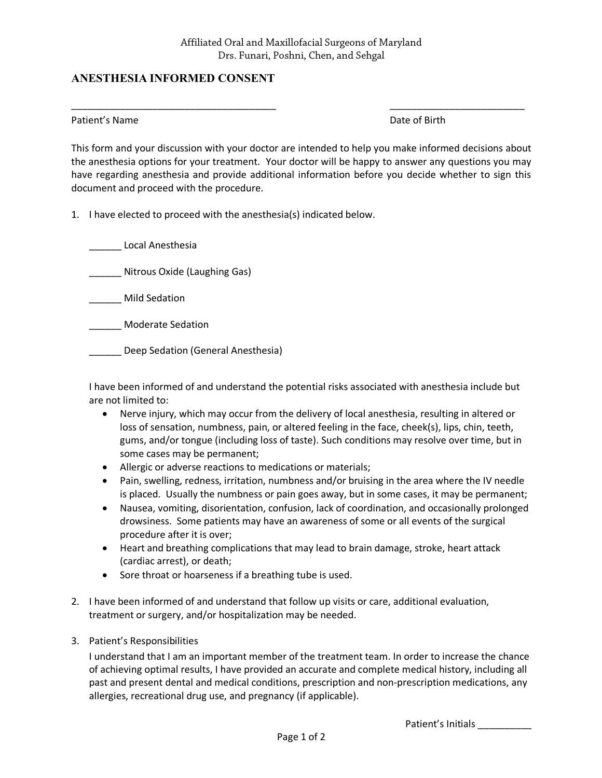\_\_\_\_\_\_\_\_\_\_\_\_\_\_\_\_\_\_\_\_\_\_\_\_\_\_\_\_\_\_\_\_\_\_\_\_\_\_ \_\_\_\_\_\_\_\_\_\_\_\_\_\_\_\_\_\_\_\_\_\_\_\_\_

## **ANESTHESIA INFORMED CONSENT**

Patient's Name **Date of Birth** 

This form and your discussion with your doctor are intended to help you make informed decisions about the anesthesia options for your treatment. Your doctor will be happy to answer any questions you may have regarding anesthesia and provide additional information before you decide whether to sign this document and proceed with the procedure.

1. I have elected to proceed with the anesthesia(s) indicated below.

\_\_\_\_\_\_ Local Anesthesia \_\_\_\_\_\_ Nitrous Oxide (Laughing Gas) \_\_\_\_\_\_ Mild Sedation \_\_\_\_\_\_ Moderate Sedation \_\_\_\_\_\_ Deep Sedation (General Anesthesia)

I have been informed of and understand the potential risks associated with anesthesia include but are not limited to:

- Nerve injury, which may occur from the delivery of local anesthesia, resulting in altered or loss of sensation, numbness, pain, or altered feeling in the face, cheek(s), lips, chin, teeth, gums, and/or tongue (including loss of taste). Such conditions may resolve over time, but in some cases may be permanent;
- Allergic or adverse reactions to medications or materials;
- Pain, swelling, redness, irritation, numbness and/or bruising in the area where the IV needle is placed. Usually the numbness or pain goes away, but in some cases, it may be permanent;
- Nausea, vomiting, disorientation, confusion, lack of coordination, and occasionally prolonged drowsiness. Some patients may have an awareness of some or all events of the surgical procedure after it is over;
- Heart and breathing complications that may lead to brain damage, stroke, heart attack (cardiac arrest), or death;
- Sore throat or hoarseness if a breathing tube is used.
- 2. I have been informed of and understand that follow up visits or care, additional evaluation, treatment or surgery, and/or hospitalization may be needed.
- 3. Patient's Responsibilities

I understand that I am an important member of the treatment team. In order to increase the chance of achieving optimal results, I have provided an accurate and complete medical history, including all past and present dental and medical conditions, prescription and non-prescription medications, any allergies, recreational drug use, and pregnancy (if applicable).

Patient's Initials \_\_\_\_\_\_\_\_\_\_